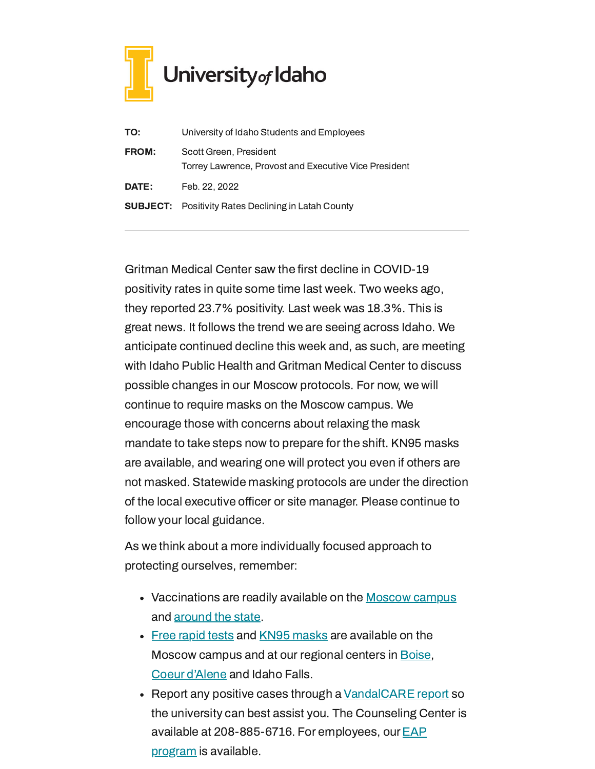

| TO:          | University of Idaho Students and Employees                                      |
|--------------|---------------------------------------------------------------------------------|
| <b>FROM:</b> | Scott Green, President<br>Torrey Lawrence, Provost and Executive Vice President |
| DATE:        | Feb. 22, 2022                                                                   |
|              | <b>SUBJECT:</b> Positivity Rates Declining in Latah County                      |

Gritman Medical Center saw the first decline in COVID-19 positivity rates in quite some time last week. Two weeks ago, they reported 23.7% positivity. Last week was 18.3%. This is great news. It follows the trend we are seeing across Idaho. We anticipate continued decline this week and, as such, are meeting with Idaho Public Health and Gritman Medical Center to discuss possible changes in our Moscow protocols. For now, we will continue to require masks on the Moscow campus. We encourage those with concerns about relaxing the mask mandate to take steps now to prepare for the shift. KN95 masks are available, and wearing one will protect you even if others are not masked. Statewide masking protocols are under the direction of the local executive officer or site manager. Please continue to follow your local guidance.

As we think about a more individually focused approach to protecting ourselves, remember:

- Vaccinations are readily available on the [Moscow](https://www.uidaho.edu/vandal-health-clinic/coronavirus/vaccine/pre-register) campus and [around](https://www.vaccines.gov/search/) the state.
- Free [rapid](https://www.uidaho.edu/-/media/UIdaho-Responsive/Files/health-clinic/covid-19/memos/memo-220207-green-lawrence.pdf) tests and [KN95 masks](https://www.uidaho.edu/-/media/UIdaho-Responsive/Files/health-clinic/covid-19/memos/memo-220214-green-lawrence.pdf) are available on the Moscow campus and at our regional centers in **Boise**, Coeur [d'Alene](https://www.uidaho.edu/cda/students/resources) and Idaho Falls.
- Report any positive cases through a [VandalCARE](https://www.uidaho.edu/student-affairs/dean-of-students/vandalcare) report so the university can best assist you. The Counseling Center is available at [208-885-6716.](https://www.uidaho.edu/human-resources/benefits/core-benefits/eap) For employees, our EAP program is available.